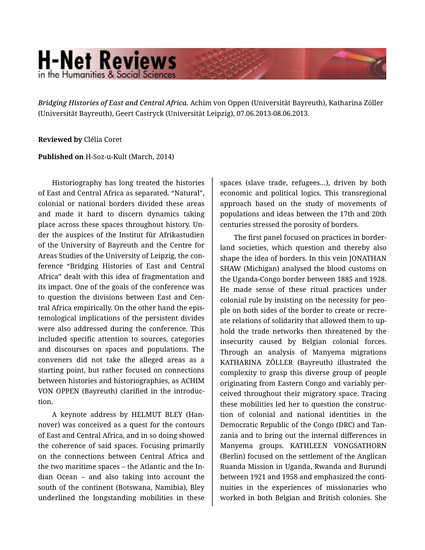# **H-Net Reviews** in the Humanities & Social Scienc

*Bridging Histories of East and Central Africa.* Achim von Oppen (Universität Bayreuth), Katharina Zöller (Universität Bayreuth), Geert Castryck (Universität Leipzig), 07.06.2013-08.06.2013.

#### **Reviewed by** Clélia Coret

## **Published on** H-Soz-u-Kult (March, 2014)

Historiography has long treated the histories of East and Central Africa as separated. "Natural", colonial or national borders divided these areas and made it hard to discern dynamics taking place across these spaces throughout history. Un‐ der the auspices of the Institut für Afrikastudien of the University of Bayreuth and the Centre for Areas Studies of the University of Leipzig, the con‐ ference "Bridging Histories of East and Central Africa" dealt with this idea of fragmentation and its impact. One of the goals of the conference was to question the divisions between East and Cen‐ tral Africa empirically. On the other hand the epis‐ temological implications of the persistent divides were also addressed during the conference. This included specific attention to sources, categories and discourses on spaces and populations. The conveners did not take the alleged areas as a starting point, but rather focused on connections between histories and historiographies, as ACHIM VON OPPEN (Bayreuth) clarified in the introduc‐ tion.

A keynote address by HELMUT BLEY (Han‐ nover) was conceived as a quest for the contours of East and Central Africa, and in so doing showed the coherence of said spaces. Focusing primarily on the connections between Central Africa and the two maritime spaces – the Atlantic and the In‐ dian Ocean – and also taking into account the south of the continent (Botswana, Namibia), Bley underlined the longstanding mobilities in these

spaces (slave trade, refugees…), driven by both economic and political logics. This transregional approach based on the study of movements of populations and ideas between the 17th and 20th centuries stressed the porosity of borders.

The first panel focused on practices in border‐ land societies, which question and thereby also shape the idea of borders. In this vein JONATHAN SHAW (Michigan) analysed the blood customs on the Uganda-Congo border between 1885 and 1928. He made sense of these ritual practices under colonial rule by insisting on the necessity for peo‐ ple on both sides of the border to create or recre‐ ate relations of solidarity that allowed them to up‐ hold the trade networks then threatened by the insecurity caused by Belgian colonial forces. Through an analysis of Manyema migrations KATHARINA ZÖLLER (Bayreuth) illustrated the complexity to grasp this diverse group of people originating from Eastern Congo and variably per‐ ceived throughout their migratory space. Tracing these mobilities led her to question the construc‐ tion of colonial and national identities in the Democratic Republic of the Congo (DRC) and Tan‐ zania and to bring out the internal differences in Manyema groups. KATHLEEN VONGSATHORN (Berlin) focused on the settlement of the Anglican Ruanda Mission in Uganda, Rwanda and Burundi between 1921 and 1958 and emphasized the conti‐ nuities in the experiences of missionaries who worked in both Belgian and British colonies. She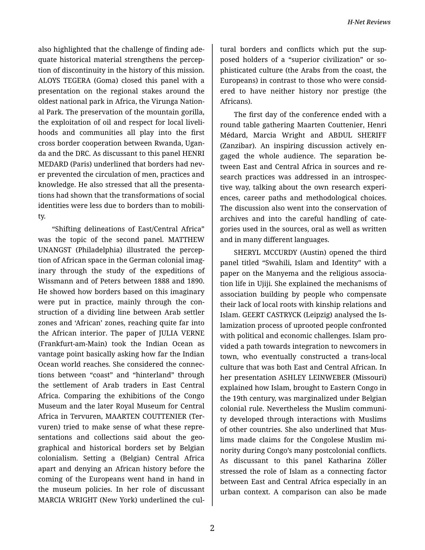also highlighted that the challenge of finding ade‐ quate historical material strengthens the percep‐ tion of discontinuity in the history of this mission. ALOYS TEGERA (Goma) closed this panel with a presentation on the regional stakes around the oldest national park in Africa, the Virunga Nation‐ al Park. The preservation of the mountain gorilla, the exploitation of oil and respect for local liveli‐ hoods and communities all play into the first cross border cooperation between Rwanda, Ugan‐ da and the DRC. As discussant to this panel HENRI MEDARD (Paris) underlined that borders had nev‐ er prevented the circulation of men, practices and knowledge. He also stressed that all the presenta‐ tions had shown that the transformations of social identities were less due to borders than to mobili‐ ty.

"Shifting delineations of East/Central Africa" was the topic of the second panel. MATTHEW UNANGST (Philadelphia) illustrated the percep‐ tion of African space in the German colonial imag‐ inary through the study of the expeditions of Wissmann and of Peters between 1888 and 1890. He showed how borders based on this imaginary were put in practice, mainly through the construction of a dividing line between Arab settler zones and 'African' zones, reaching quite far into the African interior. The paper of JULIA VERNE (Frankfurt-am-Main) took the Indian Ocean as vantage point basically asking how far the Indian Ocean world reaches. She considered the connec‐ tions between "coast" and "hinterland" through the settlement of Arab traders in East Central Africa. Comparing the exhibitions of the Congo Museum and the later Royal Museum for Central Africa in Tervuren, MAARTEN COUTTENIER (Ter‐ vuren) tried to make sense of what these repre‐ sentations and collections said about the geographical and historical borders set by Belgian colonialism. Setting a (Belgian) Central Africa apart and denying an African history before the coming of the Europeans went hand in hand in the museum policies. In her role of discussant MARCIA WRIGHT (New York) underlined the cul‐

tural borders and conflicts which put the sup‐ posed holders of a "superior civilization" or so‐ phisticated culture (the Arabs from the coast, the Europeans) in contrast to those who were consid‐ ered to have neither history nor prestige (the Africans).

The first day of the conference ended with a round table gathering Maarten Couttenier, Henri Médard, Marcia Wright and ABDUL SHERIFF (Zanzibar). An inspiring discussion actively en‐ gaged the whole audience. The separation be‐ tween East and Central Africa in sources and re‐ search practices was addressed in an introspec‐ tive way, talking about the own research experi‐ ences, career paths and methodological choices. The discussion also went into the conservation of archives and into the careful handling of cate‐ gories used in the sources, oral as well as written and in many different languages.

SHERYL MCCURDY (Austin) opened the third panel titled "Swahili, Islam and Identity" with a paper on the Manyema and the religious associa‐ tion life in Ujiji. She explained the mechanisms of association building by people who compensate their lack of local roots with kinship relations and Islam. GEERT CASTRYCK (Leipzig) analysed the Is‐ lamization process of uprooted people confronted with political and economic challenges. Islam pro‐ vided a path towards integration to newcomers in town, who eventually constructed a trans-local culture that was both East and Central African. In her presentation ASHLEY LEINWEBER (Missouri) explained how Islam, brought to Eastern Congo in the 19th century, was marginalized under Belgian colonial rule. Nevertheless the Muslim communi‐ ty developed through interactions with Muslims of other countries. She also underlined that Mus‐ lims made claims for the Congolese Muslim mi‐ nority during Congo's many postcolonial conflicts. As discussant to this panel Katharina Zöller stressed the role of Islam as a connecting factor between East and Central Africa especially in an urban context. A comparison can also be made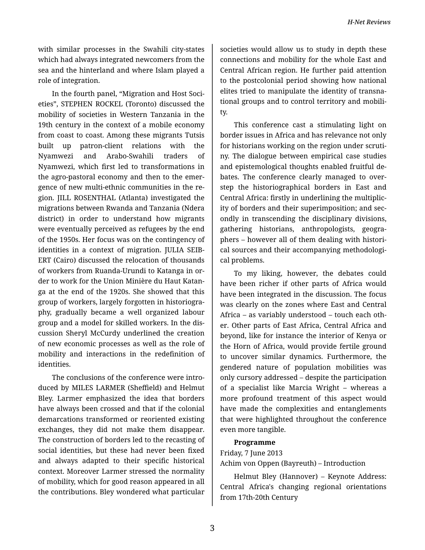with similar processes in the Swahili city-states which had always integrated newcomers from the sea and the hinterland and where Islam played a role of integration.

In the fourth panel, "Migration and Host Soci‐ eties", STEPHEN ROCKEL (Toronto) discussed the mobility of societies in Western Tanzania in the 19th century in the context of a mobile economy from coast to coast. Among these migrants Tutsis built up patron-client relations with the Nyamwezi and Arabo-Swahili traders of Nyamwezi, which first led to transformations in the agro-pastoral economy and then to the emer‐ gence of new multi-ethnic communities in the re‐ gion. JILL ROSENTHAL (Atlanta) investigated the migrations between Rwanda and Tanzania (Ndera district) in order to understand how migrants were eventually perceived as refugees by the end of the 1950s. Her focus was on the contingency of identities in a context of migration. JULIA SEIB‐ ERT (Cairo) discussed the relocation of thousands of workers from Ruanda-Urundi to Katanga in or‐ der to work for the Union Minière du Haut Katan‐ ga at the end of the 1920s. She showed that this group of workers, largely forgotten in historiogra‐ phy, gradually became a well organized labour group and a model for skilled workers. In the dis‐ cussion Sheryl McCurdy underlined the creation of new economic processes as well as the role of mobility and interactions in the redefinition of identities.

The conclusions of the conference were intro‐ duced by MILES LARMER (Sheffield) and Helmut Bley. Larmer emphasized the idea that borders have always been crossed and that if the colonial demarcations transformed or reoriented existing exchanges, they did not make them disappear. The construction of borders led to the recasting of social identities, but these had never been fixed and always adapted to their specific historical context. Moreover Larmer stressed the normality of mobility, which for good reason appeared in all the contributions. Bley wondered what particular

societies would allow us to study in depth these connections and mobility for the whole East and Central African region. He further paid attention to the postcolonial period showing how national elites tried to manipulate the identity of transna‐ tional groups and to control territory and mobili‐ ty.

This conference cast a stimulating light on border issues in Africa and has relevance not only for historians working on the region under scruti‐ ny. The dialogue between empirical case studies and epistemological thoughts enabled fruitful de‐ bates. The conference clearly managed to over‐ step the historiographical borders in East and Central Africa: firstly in underlining the multiplic‐ ity of borders and their superimposition; and sec‐ ondly in transcending the disciplinary divisions, gathering historians, anthropologists, geogra‐ phers – however all of them dealing with histori‐ cal sources and their accompanying methodologi‐ cal problems.

To my liking, however, the debates could have been richer if other parts of Africa would have been integrated in the discussion. The focus was clearly on the zones where East and Central Africa – as variably understood – touch each oth‐ er. Other parts of East Africa, Central Africa and beyond, like for instance the interior of Kenya or the Horn of Africa, would provide fertile ground to uncover similar dynamics. Furthermore, the gendered nature of population mobilities was only cursory addressed – despite the participation of a specialist like Marcia Wright – whereas a more profound treatment of this aspect would have made the complexities and entanglements that were highlighted throughout the conference even more tangible.

#### **Programme**

## Friday, 7 June 2013 Achim von Oppen (Bayreuth) – Introduction

Helmut Bley (Hannover) – Keynote Address: Central Africa's changing regional orientations from 17th-20th Century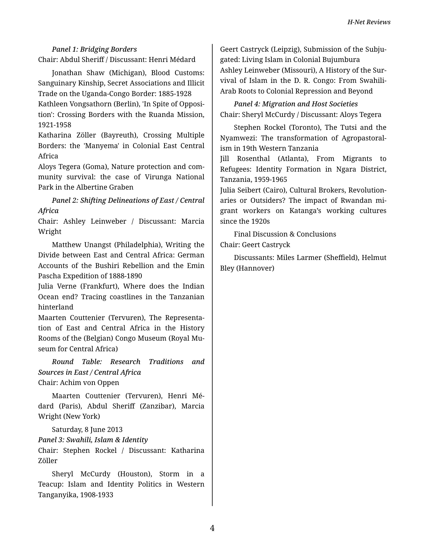*Panel 1: Bridging Borders* Chair: Abdul Sheriff / Discussant: Henri Médard

Jonathan Shaw (Michigan), Blood Customs: Sanguinary Kinship, Secret Associations and Illicit Trade on the Uganda-Congo Border: 1885-1928 Kathleen Vongsathorn (Berlin), 'In Spite of Opposi‐ tion': Crossing Borders with the Ruanda Mission, 1921-1958

Katharina Zöller (Bayreuth), Crossing Multiple Borders: the 'Manyema' in Colonial East Central Africa

Aloys Tegera (Goma), Nature protection and com‐ munity survival: the case of Virunga National Park in the Albertine Graben

*Panel 2: Shifting Delineations of East / Central Africa*

Chair: Ashley Leinweber / Discussant: Marcia Wright

Matthew Unangst (Philadelphia), Writing the Divide between East and Central Africa: German Accounts of the Bushiri Rebellion and the Emin Pascha Expedition of 1888-1890

Julia Verne (Frankfurt), Where does the Indian Ocean end? Tracing coastlines in the Tanzanian hinterland

Maarten Couttenier (Tervuren), The Representa‐ tion of East and Central Africa in the History Rooms of the (Belgian) Congo Museum (Royal Mu‐ seum for Central Africa)

*Round Table: Research Traditions and Sources in East / Central Africa* Chair: Achim von Oppen

Maarten Couttenier (Tervuren), Henri Mé‐ dard (Paris), Abdul Sheriff (Zanzibar), Marcia Wright (New York)

Saturday, 8 June 2013

*Panel 3: Swahili, Islam & Identity*

Chair: Stephen Rockel / Discussant: Katharina Zöller

Sheryl McCurdy (Houston), Storm in a Teacup: Islam and Identity Politics in Western Tanganyika, 1908-1933

Geert Castryck (Leipzig), Submission of the Subju‐ gated: Living Islam in Colonial Bujumbura Ashley Leinweber (Missouri), A History of the Sur‐ vival of Islam in the D. R. Congo: From Swahili-Arab Roots to Colonial Repression and Beyond

*Panel 4: Migration and Host Societies* Chair: Sheryl McCurdy / Discussant: Aloys Tegera

Stephen Rockel (Toronto), The Tutsi and the Nyamwezi: The transformation of Agropastoral‐ ism in 19th Western Tanzania

Jill Rosenthal (Atlanta), From Migrants to Refugees: Identity Formation in Ngara District, Tanzania, 1959-1965

Julia Seibert (Cairo), Cultural Brokers, Revolution‐ aries or Outsiders? The impact of Rwandan mi‐ grant workers on Katanga's working cultures since the 1920s

Final Discussion & Conclusions Chair: Geert Castryck

Discussants: Miles Larmer (Sheffield), Helmut Bley (Hannover)